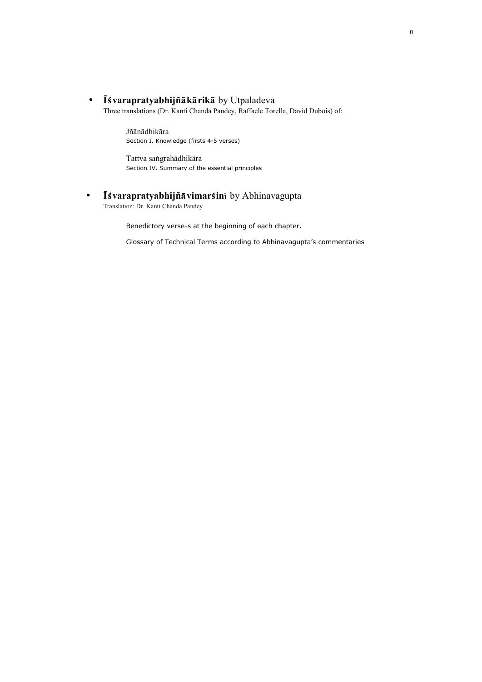• Isvarapratyabhijñākārikā by Utpaladeva

Three translations (Dr. Kanti Chanda Pandey, Raffaele Torella, David Dubois) of:

Jñānādhikāra Section I. Knowledge (firsts 4-5 verses)

Tattva sangrahādhikāra Section IV. Summary of the essential principles

• Isvarapratyabhijña vimarsini by Abhinavagupta

Translation: Dr. Kanti Chanda Pandey

Benedictory verse-s at the beginning of each chapter.

Glossary of Technical Terms according to Abhinavagupta's commentaries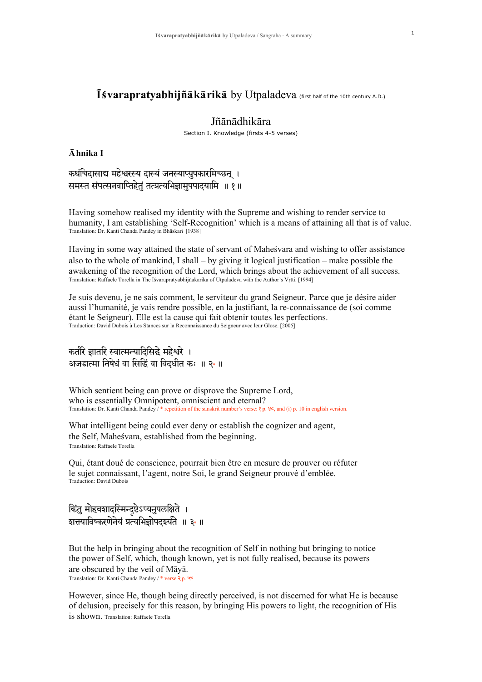# $\overline{\mathbf{I}}$  Svarapratyabhijñ $\overline{\mathbf{a}}$  k $\overline{\mathbf{a}}$  rik $\overline{\mathbf{a}}$  by Utpaladeva (first half of the 10th century A.D.)

# Jñānādhikāra

Section I. Knowledge (firsts 4-5 verses)

## $\bar{A}$ hnika I

कथंचिदासाद्य महेश्वरस्य दास्यं जनस्याप्युपकारमिच्छन् । समस्त संपत्सनवाप्तिहेतं तत्प्रत्यभिज्ञामुपपादयामि ॥ १॥

Having somehow realised my identity with the Supreme and wishing to render service to humanity, I am establishing 'Self-Recognition' which is a means of attaining all that is of value. Translation: Dr. Kanti Chanda Pandey in Bhaskari [1938]

Having in some way attained the state of servant of Mahesvara and wishing to offer assistance also to the whole of mankind, I shall – by giving it logical justification – make possible the awakening of the recognition of the Lord, which brings about the achievement of all success.<br>Translation: Raffaele Torella in The Isvarapratyabhijñākārikā of Utpaladeva with the Author's Vrtti. [1994]

Je suis devenu, je ne sais comment, le serviteur du grand Seigneur. Parce que je désire aider aussi l'humanité, je vais rendre possible, en la justifiant, la re-connaissance de (soi comme étant le Seigneur). Elle est la cause qui fait obtenir toutes les perfections. Traduction: David Dubois à Les Stances sur la Reconnaissance du Seigneur avec leur Glose. [2005]

# कर्तरि ज्ञातरि स्वात्मन्यादिसिद्धे महेश्वरे । अजडात्मा निषेधं वा सिद्धिं वा विदधीत कः ॥ २\*॥

Which sentient being can prove or disprove the Supreme Lord, who is essentially Omnipotent, omniscient and eternal? Translation: Dr. Kanti Chanda Pandey / \* repetition of the sanskrit number's verse:  $\mathfrak{p}$ .  $\mathcal{C}_2$ , and (i) p. 10 in english version.

What intelligent being could ever deny or establish the cognizer and agent, the Self, Mahesvara, established from the beginning. Translation: Raffaele Torella

Qui, étant doué de conscience, pourrait bien être en mesure de prouver ou réfuter le sujet connaissant, l'agent, notre Soi, le grand Seigneur prouvé d'emblée. Traduction: David Dubois

# किंतु मोहवशादस्मिन्द्ष्टेऽप्यनुपलक्षिते । शत्तयाविष्करणेनेयं प्रत्यभिज्ञोपदइर्यते ॥ ३\*॥

But the help in bringing about the recognition of Self in nothing but bringing to notice the power of Self, which, though known, yet is not fully realised, because its powers are obscured by the veil of Māyā. Translation: Dr. Kanti Chanda Pandey / \* verse ? p. 49

However, since He, though being directly perceived, is not discerned for what He is because of delusion, precisely for this reason, by bringing His powers to light, the recognition of His is shown. Translation: Raffaele Torella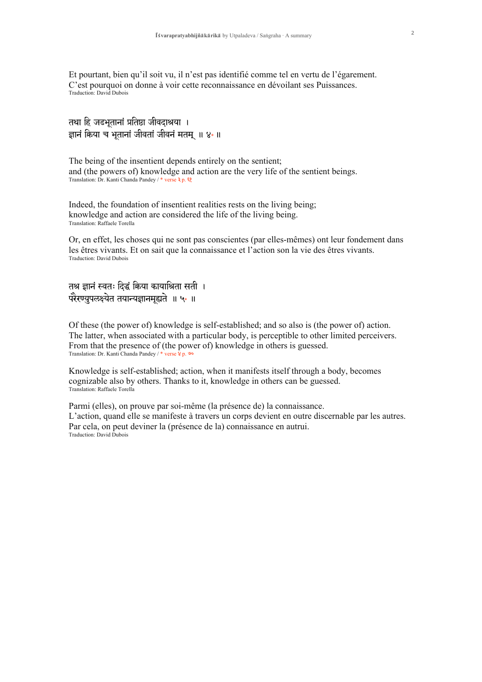Et pourtant, bien qu'il soit vu, il n'est pas identifié comme tel en vertu de l'égarement. C'est pourquoi on donne à voir cette reconnaissance en dévoilant ses Puissances. Traduction: David Dubois

```
तथा हि जडभूतानां प्रतिष्ठा जीवदाश्रया ।
ज्ञानं किया च भूतानां जीवतां जीवनं मतम् ॥ ४*॥
```
The being of the insentient depends entirely on the sentient; and (the powers of) knowledge and action are the very life of the sentient beings. Translation: Dr. Kanti Chanda Pandey / \* verse ३ p. ६१

Indeed, the foundation of insentient realities rests on the living being; knowledge and action are considered the life of the living being. Translation: Raffaele Torella

Or, en effet, les choses qui ne sont pas conscientes (par elles-mêmes) ont leur fondement dans les êtres vivants. Et on sait que la connaissance et l'action son la vie des êtres vivants. Traduction: David Dubois

तश्र ज्ञानं स्वतः दिद्धं किया कायाश्रिता सती । परेरण्युपलक्ष्येत तयान्यज्ञानमूह्यते ॥ ५ ॥

Of these (the power of) knowledge is self-established; and so also is (the power of) action. The latter, when associated with a particular body, is perceptible to other limited perceivers. From that the presence of (the power of) knowledge in others is guessed. Translation: Dr. Kanti Chanda Pandey / \* verse 8 p. 90

Knowledge is self-established; action, when it manifests itself through a body, becomes cognizable also by others. Thanks to it, knowledge in others can be guessed. Translation: Raffaele Torella

Parmi (elles), on prouve par soi-même (la présence de) la connaissance. L'action, quand elle se manifeste à travers un corps devient en outre discernable par les autres. Par cela, on peut deviner la (présence de la) connaissance en autrui. Traduction: David Dubois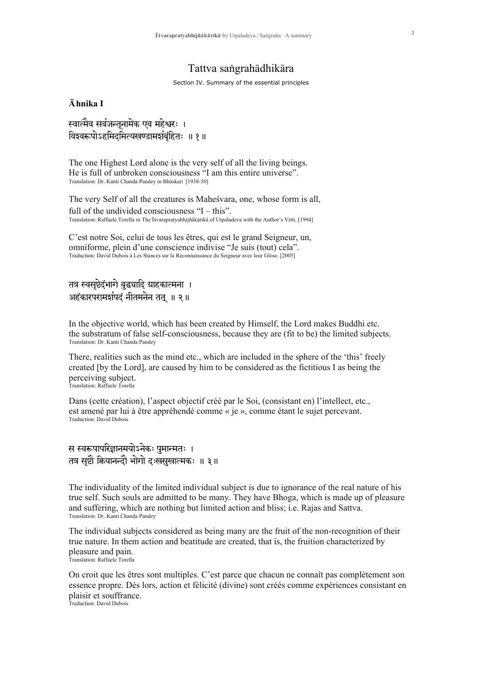# Tattva sangrahādhikāra

Section IV. Summary of the essential principles

## $\bar{A}$ hnika I

स्वात्मैव सर्वजन्तूनामेक एव महेश्वरः । विश्वरूपोऽहमिदमित्यखण्डामर्शबंहितः ॥ १॥

The one Highest Lord alone is the very self of all the living beings. He is full of unbroken consciousness "I am this entire universe". Translation: Dr. Kanti Chanda Pandey in Bhāskarī [1938-50]

The very Self of all the creatures is Mahesvara, one, whose form is all, full of the undivided consciousness "I – this". Translation: Raffaele Torella in The Isvarapratyabhijñākārikā of Utpaladeva with the Author's Vrtti. [1994]

C'est notre Soi, celui de tous les êtres, qui est le grand Seigneur, un, omniforme, plein d'une conscience indivise "Je suis (tout) cela". Traduction: David Dubois à Les Stances sur la Reconnaissance du Seigneur avec leur Glose. [2005]

# तत्र स्वसृष्टेदंभागे बुद्ध्यादि ग्राहकात्मना । अहंकारपरामर्शपदं नीतमनेन तत् ॥ २॥

In the objective world, which has been created by Himself, the Lord makes Buddhi etc. the substratum of false self-consciousness, because they are (fit to be) the limited subjects. Translation: Dr. Kanti Chanda Pandey

There, realities such as the mind etc., which are included in the sphere of the 'this' freely created [by the Lord], are caused by him to be considered as the fictitious I as being the perceiving subject. Translation: Raffaele Torella

Dans (cette création), l'aspect objectif créé par le Soi, (consistant en) l'intellect, etc., est amené par lui à être appréhendé comme « je », comme étant le sujet percevant. Traduction: David Dubois

# स स्वरूपापरिज्ञानमयोऽनेकः पुमान्मतः । तत्र सष्टौ कियानन्दौ भोगो दःखसखात्मकः ॥ ३॥

The individuality of the limited individual subject is due to ignorance of the real nature of his true self. Such souls are admitted to be many. They have Bhoga, which is made up of pleasure and suffering, which are nothing but limited action and bliss; i.e. Rajas and Sattva. Translation: Dr. Kanti Chanda Pandey

The individual subjects considered as being many are the fruit of the non-recognition of their true nature. In them action and beatitude are created, that is, the fruition characterized by pleasure and pain. Translation: Raffaele Torella

On croit que les êtres sont multiples. C'est parce que chacun ne connaît pas complètement son essence propre. Dès lors, action et félicité (divine) sont créés comme expériences consistant en plaisir et souffrance. Traduction: David Dubois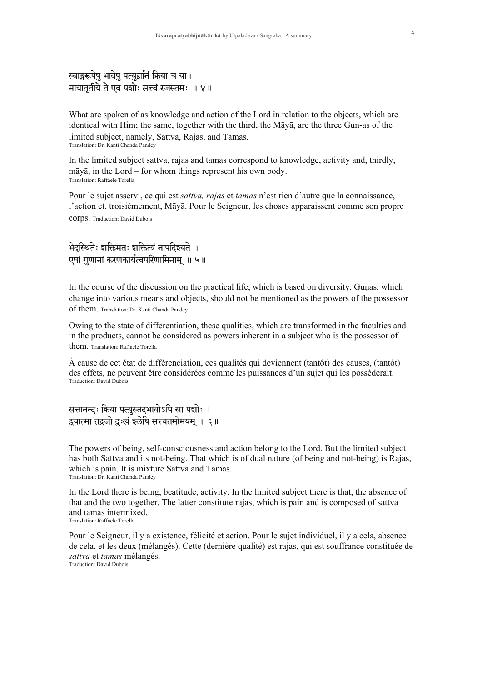# स्वाङ्गरूपेषु भावेषु पत्युर्ज्ञानं किया च या। मायातृतीये ते एव पशोः सत्त्वं रजस्तमः ॥ ४॥

What are spoken of as knowledge and action of the Lord in relation to the objects, which are identical with Him; the same, together with the third, the Maya, are the three Gun-as of the limited subject, namely, Sattva, Rajas, and Tamas. Translation: Dr. Kanti Chanda Pandey

In the limited subject sattva, rajas and tamas correspond to knowledge, activity and, thirdly,  $m\bar{a}v\bar{a}$ , in the Lord – for whom things represent his own body. Translation: Raffaele Torella

Pour le sujet asservi, ce qui est *sattva*, *rajas* et *tamas* n'est rien d'autre que la connaissance, l'action et, troisièmement, Māyā. Pour le Seigneur, les choses apparaissent comme son propre **COTDS.** Traduction: David Dubois

# भेदस्थितेः शक्तिमतः शक्तित्वं नापदिश्यते । एषां गुणानां करणकार्यत्वपरिणामिनाम् ॥ ५॥

In the course of the discussion on the practical life, which is based on diversity, Gunas, which change into various means and objects, should not be mentioned as the powers of the possessor of them. Translation: Dr. Kanti Chanda Pandey

Owing to the state of differentiation, these qualities, which are transformed in the faculties and in the products, cannot be considered as powers inherent in a subject who is the possessor of them. Translation: Raffaele Torella

 $\dot{A}$  cause de cet état de différenciation, ces qualités qui deviennent (tantôt) des causes, (tantôt) des effets, ne peuvent être considérées comme les puissances d'un sujet qui les possèderait. **Traduction: David Dubois** 

सत्तानन्दः क्रिया पत्युस्तदभावोऽपि सा पशोः । द्वयात्मा तद्रजो दुःखं इलेषि सत्त्वतमोमयम् ॥ ६॥

The powers of being, self-consciousness and action belong to the Lord. But the limited subject has both Sattva and its not-being. That which is of dual nature (of being and not-being) is Rajas, which is pain. It is mixture Sattva and Tamas. Translation: Dr. Kanti Chanda Pandey

In the Lord there is being, beatitude, activity. In the limited subject there is that, the absence of that and the two together. The latter constitute rajas, which is pain and is composed of sattva and tamas intermixed. Translation: Raffaele Torella

Pour le Seigneur, il y a existence, félicité et action. Pour le sujet individuel, il y a cela, absence de cela, et les deux (mélangés). Cette (dernière qualité) est rajas, qui est souffrance constituée de sattva et tamas mélangés. Traduction: David Dubois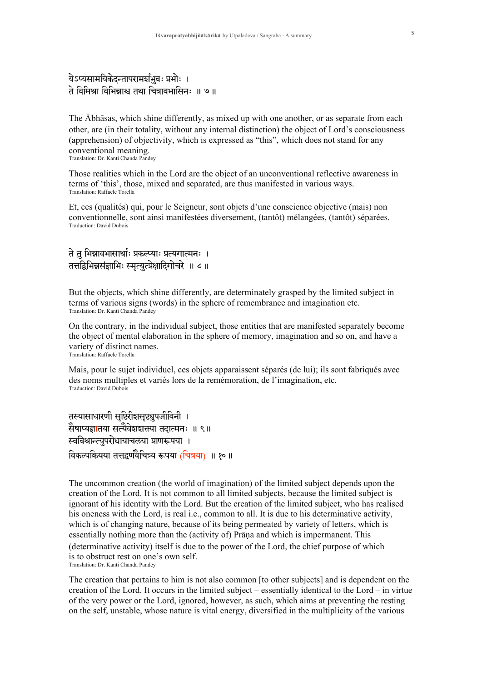# येऽप्यसामयिकेदन्तापरामर्शभुवः प्रभोः । ते विमिश्रा विभिन्नाश्च तथा चित्रावभासिनः ॥ ७॥

The Abhasas, which shine differently, as mixed up with one another, or as separate from each other, are (in their totality, without any internal distinction) the object of Lord's consciousness (apprehension) of objectivity, which is expressed as "this", which does not stand for any conventional meaning

Translation: Dr. Kanti Chanda Pandey

Those realities which in the Lord are the object of an unconventional reflective awareness in terms of 'this', those, mixed and separated, are thus manifested in various ways. Translation: Raffaele Torella

Et, ces (qualités) qui, pour le Seigneur, sont objets d'une conscience objective (mais) non conventionnelle, sont ainsi manifestées diversement, (tantôt) mélangées, (tantôt) séparées. Traduction: David Dubois

# ते त भिन्नावभासार्थाः प्रकल्प्याः प्रत्यगात्मनः । तत्तद्विभिन्नसंज्ञाभिः स्मृत्युत्प्रेक्षादिगोचरे ॥ ८॥

But the objects, which shine differently, are determinately grasped by the limited subject in terms of various signs (words) in the sphere of remembrance and imagination etc. Translation: Dr. Kanti Chanda Pandey

On the contrary, in the individual subject, those entities that are manifested separately become the object of mental elaboration in the sphere of memory, imagination and so on, and have a variety of distinct names. Translation: Raffaele Torella

Mais, pour le sujet individuel, ces objets apparaissent séparés (de lui); ils sont fabriqués avec des noms multiples et variés lors de la remémoration, de l'imagination, etc. Traduction: David Dubois

तस्यासाधारणी सृष्टिरीशसृष्ट्युपजीविनी । सैषाप्यज्ञातया सत्यैवेशशक्त्या तदात्मनः ॥ ९॥ स्वविश्रान्त्युपरोधायाचलया प्राणरूपया । विकल्पक्रियया तत्तद्वर्णवैचित्र्य रूपया (चित्रया) ॥ १० ॥

The uncommon creation (the world of imagination) of the limited subject depends upon the creation of the Lord. It is not common to all limited subjects, because the limited subject is ignorant of his identity with the Lord. But the creation of the limited subject, who has realised his oneness with the Lord, is real i.e., common to all. It is due to his determinative activity, which is of changing nature, because of its being permeated by variety of letters, which is essentially nothing more than the (activity of) Prāņa and which is impermanent. This (determinative activity) itself is due to the power of the Lord, the chief purpose of which is to obstruct rest on one's own self. Translation: Dr. Kanti Chanda Pandey

The creation that pertains to him is not also common [to other subjects] and is dependent on the creation of the Lord. It occurs in the limited subject – essentially identical to the Lord – in virtue of the very power or the Lord, ignored, however, as such, which aims at preventing the resting on the self, unstable, whose nature is vital energy, diversified in the multiplicity of the various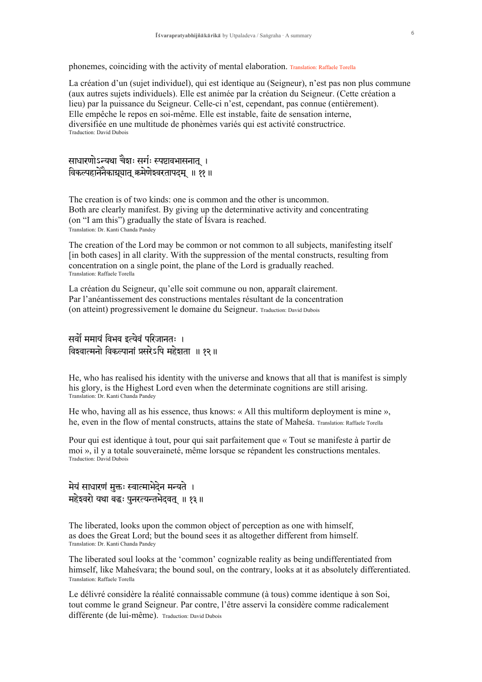phonemes, coinciding with the activity of mental elaboration. Translation: Raffaele Torella

La création d'un (sujet individuel), qui est identique au (Seigneur), n'est pas non plus commune (aux autres sujets individuels). Elle est animée par la création du Seigneur. (Cette création a lieu) par la puissance du Seigneur. Celle-ci n'est, cependant, pas connue (entièrement). Elle empêche le repos en soi-même. Elle est instable, faite de sensation interne. diversifiée en une multitude de phonèmes variés qui est activité constructrice. Traduction: David Dubois

साधारणोऽन्यथा चैशः सर्गः स्पष्टावभासनात् । विकल्पहानेनैकाभ्रुयात् क्रमेणेश्वरतापदम् ॥ ११ ॥

The creation is of two kinds: one is common and the other is uncommon. Both are clearly manifest. By giving up the determinative activity and concentrating (on "I am this") gradually the state of I svara is reached. Translation: Dr. Kanti Chanda Pandey

The creation of the Lord may be common or not common to all subjects, manifesting itself [in both cases] in all clarity. With the suppression of the mental constructs, resulting from concentration on a single point, the plane of the Lord is gradually reached. Translation: Raffaele Torella

La création du Seigneur, qu'elle soit commune ou non, apparaît clairement. Par l'anéantissement des constructions mentales résultant de la concentration (on atteint) progressivement le domaine du Seigneur, Traduction: David Dubois

सर्वों ममायं विभव इत्येवं परिजानतः । विश्वात्मनो विकल्पानां प्रसरेऽपि महेशता ॥ १२ ॥

He, who has realised his identity with the universe and knows that all that is manifest is simply his glory, is the Highest Lord even when the determinate cognitions are still arising. Translation: Dr. Kanti Chanda Pandey

He who, having all as his essence, thus knows:  $\alpha$  All this multiform deployment is mine », he, even in the flow of mental constructs, attains the state of Mahesa. Translation: Raffaele Torella

Pour qui est identique à tout, pour qui sait parfaitement que « Tout se manifeste à partir de moi », il y a totale souveraineté, même lorsque se répandent les constructions mentales. Traduction: David Dubois

.<br>मेयं साधारणं मुक्तः स्वात्माभेदेन मन्यते । महेश्वरो यथा बद्धः पुनरत्यन्तभेदवत् ॥ १३ ॥

The liberated, looks upon the common object of perception as one with himself, as does the Great Lord; but the bound sees it as altogether different from himself. Translation: Dr. Kanti Chanda Pandey

The liberated soul looks at the 'common' cognizable reality as being undifferentiated from himself, like Maheśvara; the bound soul, on the contrary, looks at it as absolutely differentiated. Translation: Raffaele Torella

Le délivré considère la réalité connaissable commune (à tous) comme identique à son Soi, tout comme le grand Seigneur. Par contre, l'être asservi la considère comme radicalement différente (de lui-même). Traduction: David Dubois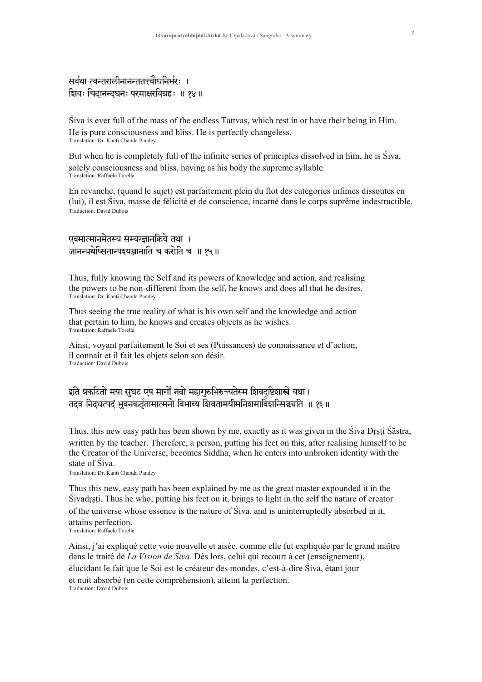# सर्वथा त्वन्तरालीनानन्ततत्त्वौघनिर्भरः । शिवः चिदानन्दघनः परमाक्षरविग्रहः ॥ १४ ॥

Siva is ever full of the mass of the endless Tattyas, which rest in or have their being in Him. He is pure consciousness and bliss. He is perfectly changeless. Translation: Dr. Kanti Chanda Pandey

But when he is completely full of the infinite series of principles dissolved in him, he is Siva. solely consciousness and bliss, having as his body the supreme syllable. Translation: Raffaele Torella

En revanche, (quand le sujet) est parfaitement plein du flot des catégories infinies dissoutes en (lui), il est Siva, masse de félicité et de conscience, incarné dans le corps suprême indestructible. **Traduction: David Dubois** 

# एवमात्मानमेतस्य सम्यग्ज्ञानक्रिये तथा । जानन्यथेप्सितान्पञ्चञ्जानाति च करोति च ॥ १५॥

Thus, fully knowing the Self and its powers of knowledge and action, and realising the powers to be non-different from the self, he knows and does all that he desires. Translation: Dr. Kanti Chanda Pandey

Thus seeing the true reality of what is his own self and the knowledge and action that pertain to him, he knows and creates objects as he wishes. Translation: Raffaele Torella

Ainsi, voyant parfaitement le Soi et ses (Puissances) de connaissance et d'action, il connaît et il fait les objets selon son désir. **Traduction: David Dubois** 

# इति प्रकटितो मया सुघट एष मार्गों नवो महागुरुभिरुच्यतेस्म शिवदष्टिशास्त्रे यथा। तदत्र निदधत्पदं भुवनकर्तृतामात्मनो विभाव्य शिवतामयीमनिशमाविंशन्सिद्धयति ॥ १६॥

Thus, this new easy path has been shown by me, exactly as it was given in the Siva Drsti Sastra. written by the teacher. Therefore, a person, putting his feet on this, after realising himself to be the Creator of the Universe, becomes Siddha, when he enters into unbroken identity with the state of Siva.

Translation: Dr. Kanti Chanda Pandey

Thus this new, easy path has been explained by me as the great master expounded it in the Sivadrsti. Thus he who, putting his feet on it, brings to light in the self the nature of creator of the universe whose essence is the nature of Siva, and is uninterruptedly absorbed in it, attains perfection. Translation: Raffaele Torella

Ainsi, j'ai expliqué cette voie nouvelle et aisée, comme elle fut expliquée par le grand maître dans le traité de *La Vision de Śiva*. Dès lors, celui qui recourt à cet (enseignement), élucidant le fait que le Soi est le créateur des mondes, c'est-à-dire Siva, étant jour et nuit absorbé (en cette compréhension), atteint la perfection. Traduction: David Dubois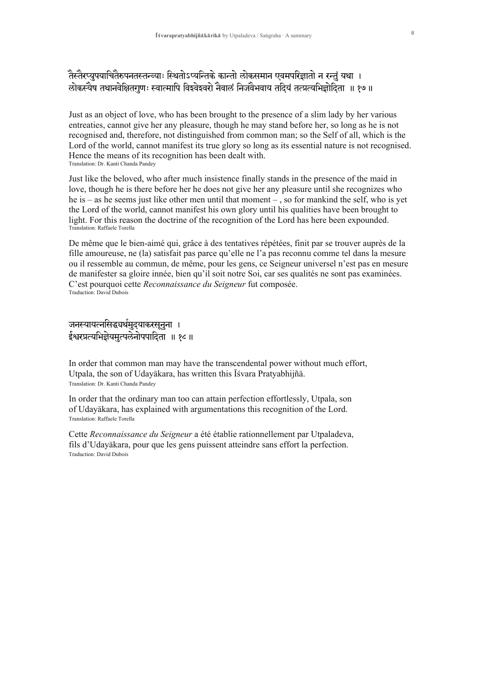Just as an object of love, who has been brought to the presence of a slim lady by her various entreaties, cannot give her any pleasure, though he may stand before her, so long as he is not recognised and, therefore, not distinguished from common man; so the Self of all, which is the Lord of the world, cannot manifest its true glory so long as its essential nature is not recognised. Hence the means of its recognition has been dealt with. Translation: Dr. Kanti Chanda Pandey

Just like the beloved, who after much insistence finally stands in the presence of the maid in love, though he is there before her he does not give her any pleasure until she recognizes who he is – as he seems just like other men until that moment –, so for mankind the self, who is yet the Lord of the world, cannot manifest his own glory until his qualities have been brought to light. For this reason the doctrine of the recognition of the Lord has here been expounded. Translation: Raffaele Torella

De même que le bien-aimé qui, grâce à des tentatives répétées, finit par se trouver auprès de la fille amoureuse, ne (la) satisfait pas parce qu'elle ne l'a pas reconnu comme tel dans la mesure ou il ressemble au commun, de même, pour les gens, ce Seigneur universel n'est pas en mesure de manifester sa gloire innée, bien qu'il soit notre Soi, car ses qualités ne sont pas examinées. C'est pourquoi cette Reconnaissance du Seigneur fut composée. **Traduction: David Dubois** 

# जनस्यायत्नसिद्ध्यर्थमुदयाकरसूनुना । ईश्वरप्रत्यभिज्ञेयमुत्पलेनोपपादिता ॥ १८ ॥

In order that common man may have the transcendental power without much effort, Utpala, the son of Udayākara, has written this Īśvara Pratyabhijñā. Translation: Dr. Kanti Chanda Pandey

In order that the ordinary man too can attain perfection effortlessly, Utpala, son of Udayākara, has explained with argumentations this recognition of the Lord. Translation: Raffaele Torella

Cette Reconnaissance du Seigneur a été établie rationnellement par Utpaladeva, fils d'Udayākara, pour que les gens puissent atteindre sans effort la perfection. **Traduction: David Dubois**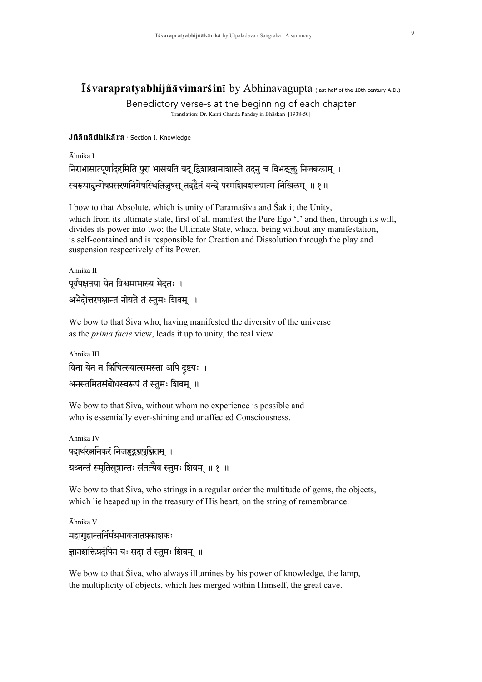# Isvarapratyabhijñā vimarśinī by Abhinavagupta (last half of the 10th century A.D.)

Benedictory verse-s at the beginning of each chapter Translation: Dr. Kanti Chanda Pandey in Bhāskarī [1938-50]

Jñānādhikāra · Section I. Knowledge

## Āhnika I

# निराभासात्पर्णादहमिति पुरा भासयति यद द्विशाखामाशास्ते तदनु च विभङ्क्त निजकलाम् । स्वरूपादुन्मेषप्रसरणनिमेषस्थितिज़ुषस् तदद्वैतं वन्दे परमशिवशत्त्वात्म निखिलम् ॥ १॥

I bow to that Absolute, which is unity of Paramasiva and Sakti; the Unity, which from its ultimate state, first of all manifest the Pure Ego 'I' and then, through its will, divides its power into two; the Ultimate State, which, being without any manifestation, is self-contained and is responsible for Creation and Dissolution through the play and suspension respectively of its Power.

Āhnika II पर्वपक्षतया येन विश्वमाभास्य भेदतः । अभेदोत्तरपक्षान्तं नीयते तं स्तमः शिवम् ॥

We bow to that Siva who, having manifested the diversity of the universe as the *prima facie* view, leads it up to unity, the real view.

Āhnika III विना येन न किंचित्स्यात्समस्ता अपि दष्टयः । अनस्तमितसंबोधस्वरूपं तं स्तुमः शिवम् ॥

We bow to that Siva, without whom no experience is possible and who is essentially ever-shining and unaffected Consciousness.

```
Āhnika IV
पदार्थरत्ननिकरं निजहृदञ्जपुञ्जितम् ।
ग्रथ्नन्तं स्मृतिसूत्रान्तः संतत्यैव स्तुमः शिवम् ॥ १ ॥
```
We bow to that Siva, who strings in a regular order the multitude of gems, the objects, which lie heaped up in the treasury of His heart, on the string of remembrance.

```
Āhnika V
महागुहान्तर्निर्मभगवजातप्रकाशकः ।
ज्ञानशक्तिप्रदीपेन यः सदा तं स्तुमः शिवम् ॥
```
We bow to that Siva, who always illumines by his power of knowledge, the lamp, the multiplicity of objects, which lies merged within Himself, the great cave.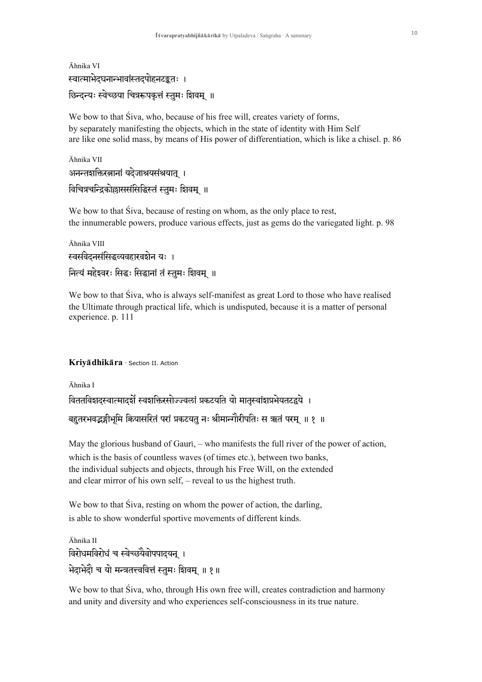```
Āhnika VI
स्वात्माभेदघनान्भावांस्तदपोहनटङ्कतः ।
छिन्दन्यः स्वेच्छया चित्ररूपकृत्तं स्तुमः शिवम् ॥
```
We bow to that Siva, who, because of his free will, creates variety of forms, by separately manifesting the objects, which in the state of identity with Him Self are like one solid mass, by means of His power of differentiation, which is like a chisel. p. 86

Āhnika VII अनन्तशक्तिरत्नानां यदेजाश्रयसंश्रयात् । विचित्रचन्द्रिकोल्लाससंसिद्धिस्तं स्तुमः शिवम् ॥

We bow to that Siva, because of resting on whom, as the only place to rest. the innumerable powers, produce various effects, just as gems do the variegated light. p. 98

```
Āhnika VIII
स्वसंवेदनसंसिद्धव्यवहारवशेन यः ।
नित्यं महेश्वरः सिद्धः सिद्धानां तं स्तुमः शिवम् ॥
```
We bow to that Siva, who is always self-manifest as great Lord to those who have realised the Ultimate through practical life, which is undisputed, because it is a matter of personal experience. p. 111

### Kriyā dhikāra · Section II. Action

Āhnika I विततविशदस्वात्मादर्शे स्वशक्तिरसोज्ज्वलां प्रकटयति यो मातस्वांशप्रभेयतटद्वये । बहुतरभवद्भङ्गीभूमि कियासरितं परां प्रकटयतु नः श्रीमान्गौरीपतिः स ऋतं परम् ॥ १ ॥

May the glorious husband of Gauri, – who manifests the full river of the power of action, which is the basis of countless waves (of times etc.), between two banks, the individual subjects and objects, through his Free Will, on the extended and clear mirror of his own self, – reveal to us the highest truth.

We bow to that Siva, resting on whom the power of action, the darling, is able to show wonderful sportive movements of different kinds.

```
Āhnika II
विरोधमविरोधं च स्वेच्छ्यैवोपपादयन् ।
भेदाभेदौ च यो मन्त्रतत्त्ववित्तं स्तुमः शिवम् ॥ १॥
```
We bow to that Siva, who, through His own free will, creates contradiction and harmony and unity and diversity and who experiences self-consciousness in its true nature.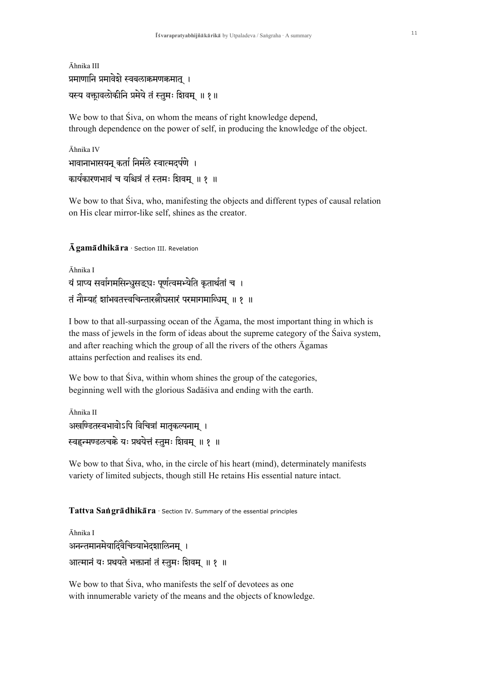```
Āhnika III
प्रमाणानि प्रमावेशे स्वबलाक्रमणक्रमात् ।
यस्य वक्तावलोकीनि प्रमेये तं स्तुमः शिवम् ॥ १॥
```
We bow to that Siva, on whom the means of right knowledge depend, through dependence on the power of self, in producing the knowledge of the object.

```
Āhnika IV
भावानाभासयन् कर्ता निर्मले स्वात्मदर्पणे ।
कार्यकारणभावं च यश्चित्रं तं स्तमः शिवम् ॥ १ ॥
```
We bow to that Siva, who, manifesting the objects and different types of causal relation on His clear mirror-like self, shines as the creator.

## $\bar{\mathbf{A}}$  gama $\bar{\mathbf{a}}$  dhika ra · Section III. Revelation

```
Āhnika I
यं प्राप्य सर्वागमसिन्धसङ्घः पर्णत्वमभ्येति कतार्थतां च ।
तं नौम्यहं शांभवतत्त्वचिन्तारत्नौघसारं परमागमान्धिम ॥ १ ॥
```
I bow to that all-surpassing ocean of the  $\bar{A}$ gama, the most important thing in which is the mass of jewels in the form of ideas about the supreme category of the Saiva system, and after reaching which the group of all the rivers of the others  $\bar{A}$ gamas attains perfection and realises its end.

We bow to that Siva, within whom shines the group of the categories, beginning well with the glorious Sadāśiva and ending with the earth.

```
Āhnika II
अखण्डितस्वभावोऽपि विचित्रां मातकल्पनाम् ।
स्वहृन्मण्डलचक्रे यः प्रथयेत्तं स्तमः शिवम् ॥ १ ॥
```
We bow to that Siva, who, in the circle of his heart (mind), determinately manifests variety of limited subjects, though still He retains His essential nature intact.

## Tattva Sangradhikara · Section IV. Summary of the essential principles

```
Āhnika I
अनन्तमानमेयादिवैचित्र्याभेदशालिनम् ।
आत्मानं यः प्रथयते भक्तानां तं स्तुमः शिवम् ॥ १ ॥
```
We bow to that Siva, who manifests the self of devotees as one with innumerable variety of the means and the objects of knowledge.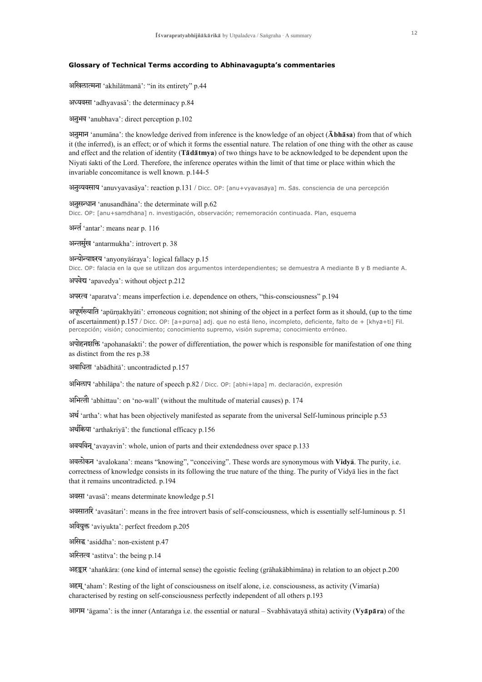#### **Glossary of Technical Terms according to Abhinavagupta's commentaries**

अखिलात्मना 'akhilātmanā': "in its entirety" p.44

अध्यवसा 'adhyavasā': the determinacy p.84

अनुभव 'anubhava': direct perception p.102

अनुमान 'anumana': the knowledge derived from inference is the knowledge of an object ( $\bar{A}$ bhasa) from that of which it (the inferred), is an effect; or of which it forms the essential nature. The relation of one thing with the other as cause and effect and the relation of identity (Tādātmya) of two things have to be acknowledged to be dependent upon the Niyati sakti of the Lord. Therefore, the inference operates within the limit of that time or place within which the invariable concomitance is well known. p.144-5

अनुत्यवसाय 'anuvyavasāya': reaction p.131 / Dicc. OP: [anu+vyavasāya] m. Sas. consciencia de una percepción

अनुसन्धान 'anusandhāna': the determinate will p.62 Dicc. OP: [anu+sam\_dhaana] n. investigación, observación; rememoración continuada. Plan, esquema

अन्त 'antar': means near p. 116

अन्तर्मुख 'antarmukha': introvert p. 38

अन्योन्याश्रय 'anyonyāsraya': logical fallacy p.15 Dicc. OP: falacia en la que se utilizan dos argumentos interdependientes; se demuestra A mediante B y B mediante A.

अपवेद्य 'apavedya': without object p.212

अपरत्व 'aparatva': means imperfection i.e. dependence on others, "this-consciousness" p.194

अपूर्णस्वाति 'apūrṇakhyāti': erroneous cognition; not shining of the object in a perfect form as it should, (up to the time of ascertainment) p.157 / Dicc. OP: [a+purna] adj. que no está lleno, incompleto, deficiente, falto de + [khya+ti] Fil. percepción; visión; conocimiento; conocimiento supremo, visión suprema; conocimiento erróneo.

अपोहनशक्ति 'apohanasakti': the power of differentiation, the power which is responsible for manifestation of one thing as distinct from the res p.38

अबाधिता 'abadhita': uncontradicted p.157

आभिलाप 'abhilapa': the nature of speech p.82 / Dicc. OP: [abhi+lapa] m. declaración, expresión

अभित्तो 'abhittau': on 'no-wall' (without the multitude of material causes) p. 174

 $\overrightarrow{AB}$  'artha': what has been objectively manifested as separate from the universal Self-luminous principle p.53

अर्थकिया 'arthakriya': the functional efficacy p.156

अवयविन् 'avayavin': whole, union of parts and their extendedness over space p.133

अवलोकन 'avalokana': means "knowing", "conceiving". These words are synonymous with Vidya. The purity, i.e. correctness of knowledge consists in its following the true nature of the thing. The purity of Vidya lies in the fact that it remains uncontradicted. p.194

अवसा 'avasā': means determinate knowledge p.51

अवसातरि 'avasātari': means in the free introvert basis of self-consciousness, which is essentially self-luminous p. 51

अवियुक्त 'aviyukta': perfect freedom p.205

असिद्ध 'asiddha': non-existent p.47

अस्तित्व 'astitva': the being p.14

अहङ्कार 'ahankāra: (one kind of internal sense) the egoistic feeling (grāhakābhimāna) in relation to an object p.200

अहम् 'aham': Resting of the light of consciousness on itself alone, i.e. consciousness, as activity (Vimarsa) characterised by resting on self-consciousness perfectly independent of all others p.193

आगम 'āgama': is the inner (Antaranga i.e. the essential or natural – Svabhāvatayā sthita) activity (Vyāpāra) of the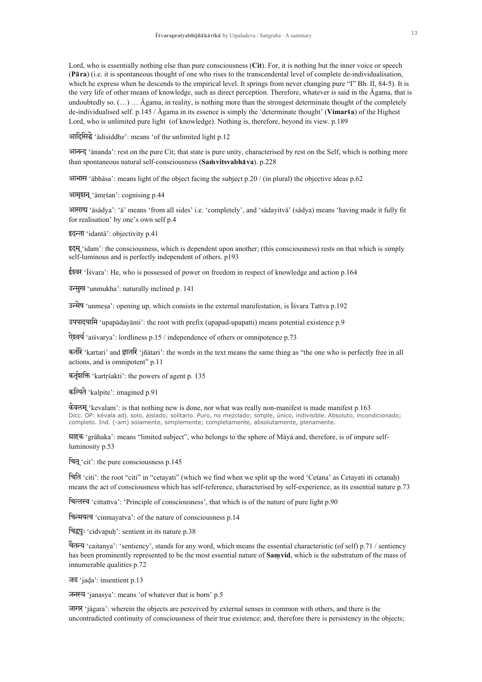Lord, who is essentially nothing else than pure consciousness (Cit). For, it is nothing but the inner voice or speech (Pāra) (i.e. it is spontaneous thought of one who rises to the transcendental level of complete de-individualisation, which he express when he descends to the empirical level. It springs from never changing pure "I" Bh. II, 84-5). It is the very life of other means of knowledge, such as direct perception. Therefore, whatever is said in the Agama, that is undoubtedly so.  $(...)$   $...$   $\bar{A}$ gama, in reality, is nothing more than the strongest determinate thought of the completely de-individualised self. p.145 /  $\bar{A}$ gama in its essence is simply the 'determinate thought' (Vimarsa) of the Highest Lord, who is unlimited pure light (of knowledge). Nothing is, therefore, beyond its view, p.189

आदिसिद्धे 'adisiddhe': means 'of the unlimited light p.12

आनन्द 'ānanda': rest on the pure Cit; that state is pure unity, characterised by rest on the Self, which is nothing more than spontaneous natural self-consciousness (Samvitsvabhava). p.228

आभास 'ābhāsa': means light of the object facing the subject p.20 / (in plural) the objective ideas p.62

आमुशन् 'āmrśan': cognising p.44

आसाच 'āsādya': 'ā' means 'from all sides' i.e. 'completely', and 'sādayitvā' (sādya) means 'having made it fully fit for realisation' by one's own self p.4

इदन्ता 'idantā': objectivity p.41

इंदम् 'idam': the consciousness, which is dependent upon another; (this consciousness) rests on that which is simply self-luminous and is perfectly independent of others. p193

ईश्वर 'Isvara': He, who is possessed of power on freedom in respect of knowledge and action  $p.164$ 

उन्मुख 'unmukha': naturally inclined p. 141

उन्मेष 'unmesa': opening up, which consists in the external manifestation, is Isvara Tattva p.192

उपपादयामि 'upapadayami': the root with prefix (upapad-upapatti) means potential existence p.9

ऐश्वर्य 'aiśvarya': lordliness p.15 / independence of others or omnipotence p.73

कर्तरि 'kartari' and ज्ञातरि 'jñātari': the words in the text means the same thing as "the one who is perfectly free in all actions, and is omnipotent" p.11

कर्तृशक्ति 'kartrsakti': the powers of agent p. 135

कल्पिते 'kalpite': imagined p.91

केवलम् 'kevalam': is that nothing new is done, nor what was really non-manifest is made manifest p.163 Dicc. OP: kévala adj. solo, aislado; solitario. Puro, no mezclado; simple, único, indivisible. Absoluto, incondicionado; completo. Ind. (-am) solamente, simplemente; completamente, absolutamente, plenamente.

ग्राहक 'grāhaka': means "limited subject", who belongs to the sphere of Māyā and, therefore, is of impure selfluminosity p.53

चित् 'cit': the pure consciousness  $p.145$ 

चिति 'citi': the root "citi" in "cetayati" (which we find when we split up the word 'Cetana' as Cetayati iti cetanah) means the act of consciousness which has self-reference, characterised by self-experience, as its essential nature p.73

चित्तरच 'cittattva': 'Principle of consciousness', that which is of the nature of pure light p.90

चिन्मयत्व 'cinmayatva': of the nature of consciousness p.14

चिद्वपुः 'cidvapuh': sentient in its nature p.38

चैतन्य 'caitanya': 'sentiency', stands for any word, which means the essential characteristic (of self) p.71 / sentiency has been prominently represented to be the most essential nature of Samvid, which is the substratum of the mass of innumerable qualities p.72

जड 'jada': insentient p.13

जनस्य 'janasya': means 'of whatever that is born' p.5

जागर 'jāgara': wherein the objects are perceived by external senses in common with others, and there is the uncontradicted continuity of consciousness of their true existence; and, therefore there is persistency in the objects;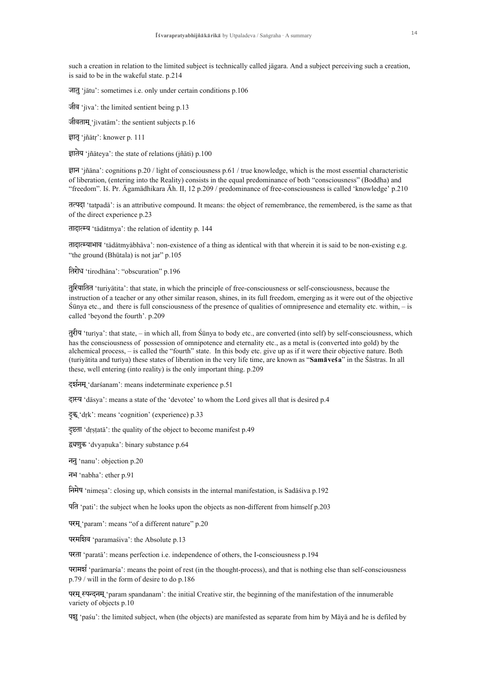such a creation in relation to the limited subject is technically called jaagara. And a subject perceiving such a creation, is said to be in the wakeful state. p.214

जातु 'jātu': sometimes i.e. only under certain conditions p.106

 $\overline{u}$   $\overline{u}$  'jiva': the limited sentient being p.13

जीवताम ' $i$ ivatām': the sentient subjects p.16

ज्ञातृ 'jñātr': knower p. 111

 $\overline{\mathsf{s}}$  ateva': the state of relations (iñati) p.100

 $\overline{\xi}$ IT 'jñana': cognitions p.20 / light of consciousness p.61 / true knowledge, which is the most essential characteristic of liberation, (entering into the Reality) consists in the equal predominance of both "consciousness" (Boddha) and "freedom". Is. Pr.  $\bar{A}$ gamādhikara  $\bar{A}$ h. II, 12 p.209 / predominance of free-consciousness is called 'knowledge' p.210

तत्पदा 'tatpada': is an attributive compound. It means: the object of remembrance, the remembered, is the same as that of the direct experience p.23

तादात्म्य 'tādātmya': the relation of identity p. 144

तादात्म्याभाव 'tādātmyābhāva': non-existence of a thing as identical with that wherein it is said to be non-existing e.g. "the ground (Bhūtala) is not jar"  $p.105$ 

तिरोध 'tirodhana': "obscuration" p.196

तुरियातित 'turiyatita': that state, in which the principle of free-consciousness or self-consciousness, because the instruction of a teacher or any other similar reason, shines, in its full freedom, emerging as it were out of the objective  $\sin y$  etc., and there is full consciousness of the presence of qualities of omnipresence and eternality etc. within,  $-$  is called 'beyond the fourth'. p.209

 $\frac{1}{2}$  $\frac{1}{2}$  turiya': that state, – in which all, from Sūnya to body etc., are converted (into self) by self-consciousness, which has the consciousness of possession of omnipotence and eternality etc., as a metal is (converted into gold) by the alchemical process, – is called the "fourth" state. In this body etc. give up as if it were their objective nature. Both (turivatita and turiva) these states of liberation in the very life time, are known as "Samavesa" in the Sastras. In all these, well entering (into reality) is the only important thing. p.209

दर्शनम् 'darsanam': means indeterminate experience p.51

दास्य 'dāsya': means a state of the 'devotee' to whom the Lord gives all that is desired p.4

दुक् 'drk': means 'cognition' (experience) p.33

दृष्टता 'drstata': the quality of the object to become manifest p.49

द्वचणुक 'dvyanuka': binary substance p.64

ननु 'nanu': objection p.20

नभ 'nabha': ether p.91

 $\overline{H}$  $\overline{H}$  'nimesa': closing up, which consists in the internal manifestation, is Sadasiva p.192

पति 'pati': the subject when he looks upon the objects as non-different from himself p.203

परम् 'param': means "of a different nature" p.20

परमशिव 'paramasiva': the Absolute p.13

परता 'parata': means perfection i.e. independence of others, the I-consciousness p.194

परामर्श 'paramarsa': means the point of rest (in the thought-process), and that is nothing else than self-consciousness p.79 / will in the form of desire to do p.186

परम् स्पन्दनम् 'param spandanam': the initial Creative stir, the beginning of the manifestation of the innumerable variety of objects p.10

पद्मू 'pasu': the limited subject, when (the objects) are manifested as separate from him by Maya and he is defiled by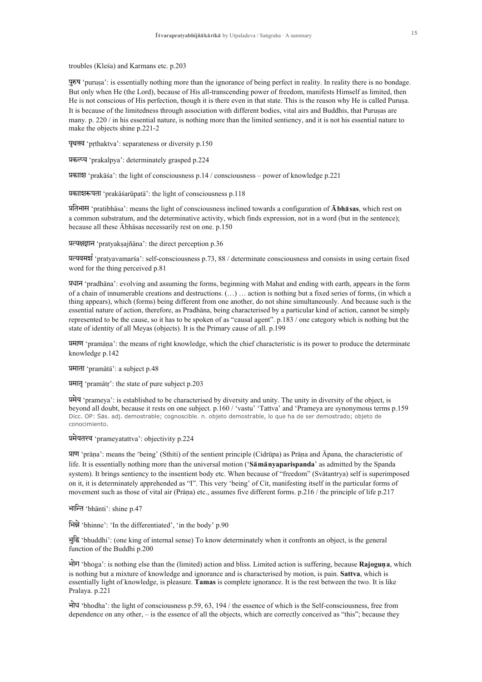troubles (Kleśa) and Karmans etc. p.203

पुरुष 'purusa': is essentially nothing more than the ignorance of being perfect in reality. In reality there is no bondage. But only when He (the Lord), because of His all-transcending power of freedom, manifests Himself as limited, then He is not conscious of His perfection, though it is there even in that state. This is the reason why He is called Purusa. It is because of the limitedness through association with different bodies, vital airs and Buddhis, that Puruşas are many, p. 220  $/$  in his essential nature, is nothing more than the limited sentiency, and it is not his essential nature to make the objects shine p.221-2

पृथत्तव 'prthaktva': separateness or diversity p.150

प्रकल्प्य 'prakalpya': determinately grasped p.224

प्रकाशि 'prakāša': the light of consciousness p.14 / consciousness – power of knowledge p.221

प्रकाशिरूपता 'prakāśarūpatā': the light of consciousness p.118

प्रतिभास 'pratibhasa': means the light of consciousness inclined towards a configuration of  $\bar{A}$  bhasas, which rest on a common substratum, and the determinative activity, which finds expression, not in a word (but in the sentence): because all these Abhasas necessarily rest on one. p.150

प्रत्यक्षज्ञान 'pratyakṣajñāna': the direct perception p.36

प्रत्यवमर्श 'pratyavamarśa': self-consciousness p.73, 88 / determinate consciousness and consists in using certain fixed word for the thing perceived p.81

प्रधान 'pradhāna': evolving and assuming the forms, beginning with Mahat and ending with earth, appears in the form of a chain of innumerable creations and destructions. (...) ... action is nothing but a fixed series of forms, (in which a thing appears), which (forms) being different from one another, do not shine simultaneously. And because such is the essential nature of action, therefore, as Pradhāna, being characterised by a particular kind of action, cannot be simply represented to be the cause, so it has to be spoken of as "causal agent". p.183 / one category which is nothing but the state of identity of all Meyas (objects). It is the Primary cause of all. p.199

प्रमाण 'pramāna': the means of right knowledge, which the chief characteristic is its power to produce the determinate knowledge p.142

प्रमाता 'pramātā': a subject p.48

प्रमातृ 'pramātr': the state of pure subject p.203

प्रमेय 'prameya': is established to be characterised by diversity and unity. The unity in diversity of the object, is beyond all doubt, because it rests on one subject. p.160 / 'vastu' 'Tattva' and 'Prameya are synonymous terms p.159 Dicc. OP: Sas. adj. demostrable; cognoscible. n. objeto demostrable, lo que ha de ser demostrado; objeto de conocimiento.

प्रमेयतत्त्व 'prameyatattva': objectivity p.224

प्राण 'prāṇa': means the 'being' (Sthiti) of the sentient principle (Cidrūpa) as Prāṇa and Āpana, the characteristic of life. It is essentially nothing more than the universal motion ('Samanvaparispanda' as admitted by the Spanda system). It brings sentiency to the insentient body etc. When because of "freedom" (Svätantrya) self is superimposed on it, it is determinately apprehended as "I". This very 'being' of Cit, manifesting itself in the particular forms of movement such as those of vital air (Prāna) etc., assumes five different forms. p.216 / the principle of life p.217

भान्ति 'bhānti': shine p.47

भिन्ने 'bhinne': 'In the differentiated', 'in the body' p.90

भुद्धि 'bhuddhi': (one king of internal sense) To know determinately when it confronts an object, is the general function of the Buddhi p.200

भोग 'bhoga': is nothing else than the (limited) action and bliss. Limited action is suffering, because **Rajoguna**, which is nothing but a mixture of knowledge and ignorance and is characterised by motion, is pain. Sattva, which is essentially light of knowledge, is pleasure. Tamas is complete ignorance. It is the rest between the two. It is like Pralaya. p.221

भोध 'bhodha': the light of consciousness p.59, 63, 194 / the essence of which is the Self-consciousness, free from dependence on any other, – is the essence of all the objects, which are correctly conceived as "this"; because they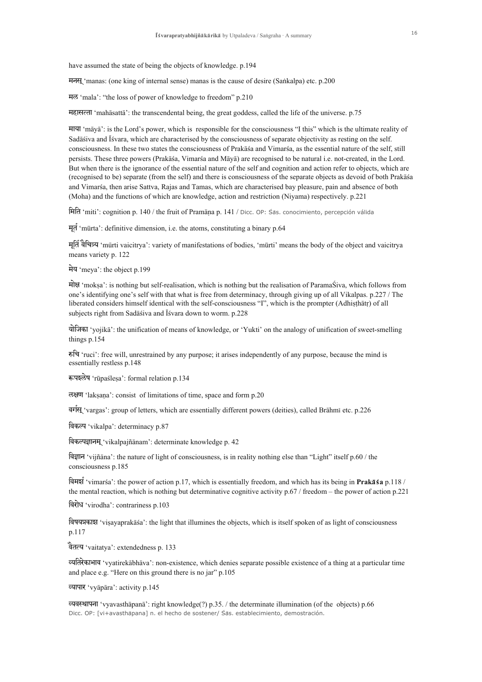have assumed the state of being the objects of knowledge. p.194

मनस् 'manas: (one king of internal sense) manas is the cause of desire (Sankalpa) etc. p.200

मल 'mala': "the loss of power of knowledge to freedom" p.210

महासत्ता 'mahāsattā': the transcendental being, the great goddess, called the life of the universe, p.75

 $\overline{m}$  maya': is the Lord's power, which is responsible for the consciousness "I this" which is the ultimate reality of Sadāšiva and Išvara, which are characterised by the consciousness of separate objectivity as resting on the self. consciousness. In these two states the consciousness of Prakasa and Vimarsa, as the essential nature of the self, still persists. These three powers (Prakāśa, Vimarśa and Māyā) are recognised to be natural i.e. not-created, in the Lord. But when there is the ignorance of the essential nature of the self and cognition and action refer to objects, which are (recognised to be) separate (from the self) and there is consciousness of the separate objects as devoid of both Prakaasza and Vimarsa, then arise Sattva, Rajas and Tamas, which are characterised bay pleasure, pain and absence of both (Moha) and the functions of which are knowledge, action and restriction (Niyama) respectively. p.221

imit 'miti': cognition p. 140 / the fruit of Pramaan\_a p. 141 / Dicc. OP: SZaas. conocimiento, percepción válida

 $\overline{H}$  'mūrta': definitive dimension, i.e. the atoms, constituting a binary p.64

मूर्ति वैचित्र्य 'mūrti vaicitrya': variety of manifestations of bodies, 'mūrti' means the body of the object and vaicitrya means variety p. 122

मेय 'meya': the object p.199

 $\hat{\mathbf{H}}$  'moksa': is nothing but self-realisation, which is nothing but the realisation of ParamaŚiva, which follows from one's identifying one's self with that what is free from determinacy, through giving up of all Vikalpas. p.227 / The liberated considers himself identical with the self-consciousness "I", which is the prompter (Adhisthatr) of all subjects right from Sadāśiva and Īśvara down to worm. p.228

योजिका 'yojika': the unification of means of knowledge, or 'Yukti' on the analogy of unification of sweet-smelling things p.154

Èic 'ruci': free will, unrestrained by any purpose; it arises independently of any purpose, because the mind is essentially restless p.148

रूपश्लेष 'rūpaslesa': formal relation p.134

लक्षण 'laksana': consist of limitations of time, space and form p.20

vgRs! 'vargas': group of letters, which are essentially different powers (deities), called Braahmi etc. p.226

विकल्प 'vikalpa': determinacy p.87

विकल्पज्ञानम् 'vikalpajñānam': determinate knowledge p. 42

विज्ञान 'vijñāna': the nature of light of consciousness, is in reality nothing else than "Light" itself p.60 / the consciousness p.185

विमर्श 'vimarsa': the power of action p.17, which is essentially freedom, and which has its being in **Prakassa** p.118 / the mental reaction, which is nothing but determinative cognitive activity p.67 / freedom – the power of action p.221

विरोध 'virodha': contrariness p.103

विषयप्रकाश 'visayaprakāsa': the light that illumines the objects, which is itself spoken of as light of consciousness p.117

वैतत्य 'vaitatya': extendedness p. 133

Vyitreka…av 'vyatirekaabhaava': non-existence, which denies separate possible existence of a thing at a particular time and place e.g. "Here on this ground there is no jar" p.105

Vyapar 'vyaapaara': activity p.145

व्यवस्थापना 'vyavasthāpanā': right knowledge(?) p.35. / the determinate illumination (of the objects) p.66 Dicc. OP: [vi+avasthapana] n. el hecho de sostener/ Sas. establecimiento, demostración.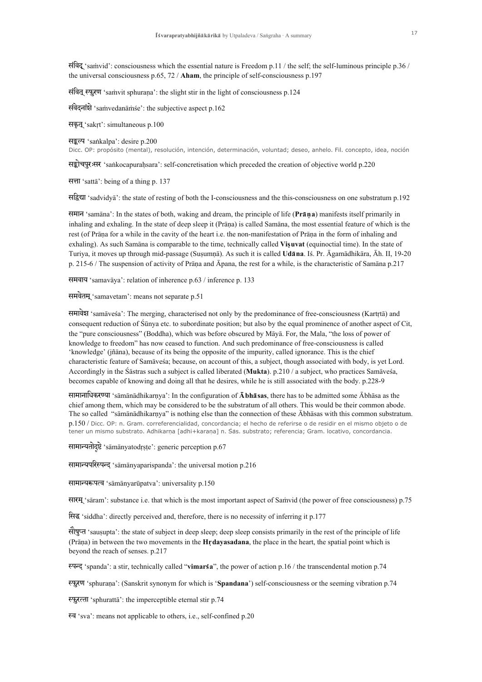$\frac{1}{2}$  samvid': consciousness which the essential nature is Freedom p.11 / the self; the self-luminous principle p.36 / the universal consciousness p.65, 72 / Aham, the principle of self-consciousness p.197

संवित् स्फुरण 'samvit sphurana': the slight stir in the light of consciousness p.124

संवेदनांशे 'samvedanāmse': the subjective aspect p.162

सक़त् 'sakrt': simultaneous p.100

सङ्कल्प 'sankalpa': desire p.200

Dicc. OP: propósito (mental), resolución, intención, determinación, voluntad; deseo, anhelo. Fil. concepto, idea, noción

सङ्कोचपुरःसर 'sankocapurahsara': self-concretisation which preceded the creation of objective world p.220

सत्ता 'sattā': being of a thing p. 137

 $\overline{\text{tr}(\text{grad} \cdot \text{rad})}$ : the state of resting of both the I-consciousness and the this-consciousness on one substratum p.192

समान 'samāna': In the states of both, waking and dream, the principle of life (Prāna) manifests itself primarily in inhaling and exhaling. In the state of deep sleep it (Prāna) is called Samāna, the most essential feature of which is the rest (of Prana-for a while in the cavity of the heart i.e. the non-manifestation of Prana in the form of inhaling and exhaling). As such Samana is comparable to the time, technically called Visuvat (equinoctial time). In the state of Turiya, it moves up through mid-passage (Susumnā). As such it is called Udāna. Is, Pr. Āgamādhikāra, Āh. II, 19-20 p. 215-6 / The suspension of activity of Prana and Apana, the rest for a while, is the characteristic of Samana p.217

समवाय 'samavāya': relation of inherence p.63 / inference p. 133

समवेतम् 'samavetam': means not separate p.51

समावेश 'samāvesa': The merging, characterised not only by the predominance of free-consciousness (Kartrtā) and consequent reduction of Sūnya etc. to subordinate position; but also by the equal prominence of another aspect of Cit, the "pure consciousness" (Boddha), which was before obscured by Māyā. For, the Mala, "the loss of power of knowledge to freedom" has now ceased to function. And such predominance of free-consciousness is called 'knowledge' (jñāna), because of its being the opposite of the impurity, called ignorance. This is the chief characteristic feature of Samāvesa; because, on account of this, a subject, though associated with body, is yet Lord. Accordingly in the Sāstras such a subject is called liberated (Mukta). p.210 / a subject, who practices Samāvesa, becomes capable of knowing and doing all that he desires, while he is still associated with the body. p.228-9

सामानाधिकरण्या 'samanadhikarnya': In the configuration of  $\bar{A}$ bhasas, there has to be admitted some Abhasa as the chief among them, which may be considered to be the substratum of all others. This would be their common abode. The so called "sāmānādhikarnya" is nothing else than the connection of these Abhāsas with this common substratum. p.150 / Dicc. OP: n. Gram. correferencialidad, concordancia; el hecho de referirse o de residir en el mismo objeto o de tener un mismo substrato. Adhikarna [adhi+karana] n. Sas. substrato; referencia; Gram. locativo, concordancia.

सामान्यतोदृष्टे 'sāmānyatodrṣṭe': generic perception p.67

सामान्यपरिस्पन्द 'sāmānyaparispanda': the universal motion p.216

सामान्यरूपत्व 'sāmānyarūpatva': universality p.150

sarm! 'saaram': substance i.e. that which is the most important aspect of Sammvid (the power of free consciousness) p.75

 $\overline{\mathbb{R}}\mathbb{R}^n$  'siddha': directly perceived and, therefore, there is no necessity of inferring it p.177

 $\hat{\theta}$ g $\hat{\theta}$  'sausupta': the state of subject in deep sleep; deep sleep consists primarily in the rest of the principle of life (Prāna) in between the two movements in the Hrdayasadana, the place in the heart, the spatial point which is beyond the reach of senses. p.217

 $\overline{\text{er}}\text{F}$  'spanda': a stir, technically called "vimarsa", the power of action p.16 / the transcendental motion p.74

स्फुरण 'sphurana': (Sanskrit synonym for which is 'Spandana') self-consciousness or the seeming vibration p.74

 $F_{\mathbf{5}}$  $F_{\mathbf{6}}$  $F_{\mathbf{7}}$  (sphuratta<sup>2</sup>: the imperceptible eternal stir p.74

स्व 'sva': means not applicable to others, i.e., self-confined p.20